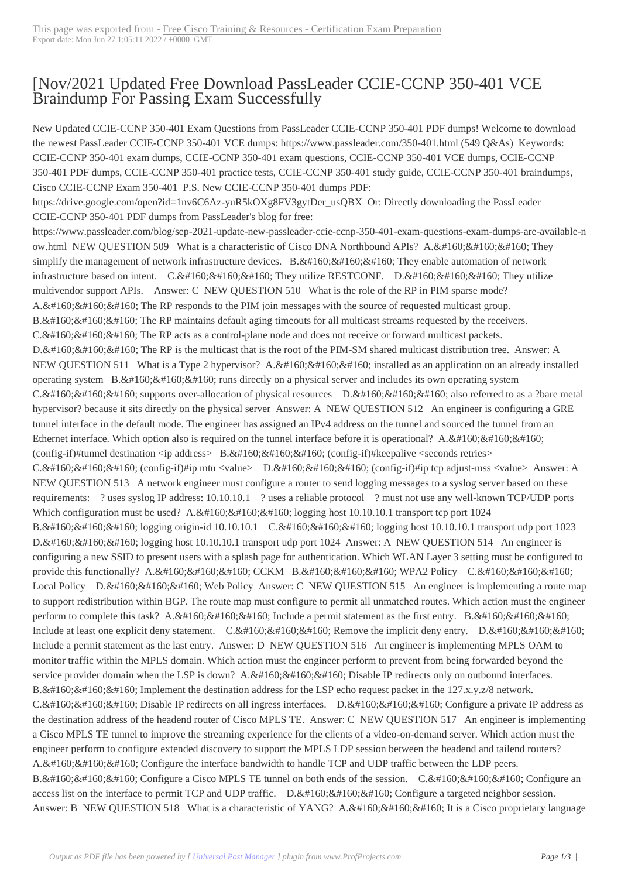## [Nov/2021 Update[d Free Download PassLeader CCIE-CCNP](https://www.ciscobibles.com/?p=7266) 350-401 VCE Braindump For Passing Exam Successfully

 New Updated CCIE-CCNP 350-401 Exam Questions from PassLeader CCIE-CCNP 350-401 PDF dumps! Welcome to download the newest PassLeader CCIE-CCNP 350-401 VCE dumps: https://www.passleader.com/350-401.html (549 Q&As) Keywords: CCIE-CCNP 350-401 exam dumps, CCIE-CCNP 350-401 exam questions, CCIE-CCNP 350-401 VCE dumps, CCIE-CCNP 350-401 PDF dumps, CCIE-CCNP 350-401 practice tests, CCIE-CCNP 350-401 study guide, CCIE-CCNP 350-401 braindumps, Cisco CCIE-CCNP Exam 350-401 P.S. New CCIE-CCNP 350-401 dumps PDF:

https://drive.google.com/open?id=1nv6C6Az-yuR5kOXg8FV3gytDer\_usQBX Or: Directly downloading the PassLeader CCIE-CCNP 350-401 PDF dumps from PassLeader's blog for free:

https://www.passleader.com/blog/sep-2021-update-new-passleader-ccie-ccnp-350-401-exam-questions-exam-dumps-are-available-n ow.html NEW QUESTION 509 What is a characteristic of Cisco DNA Northbound APIs? A.  $\&$ #160;  $\&$ #160;  $\&$ #160; They simplify the management of network infrastructure devices. B.  $\ \ \$  They enable automation of network infrastructure based on intent.  $C.\&\#160;\&\#160;\#160;$  They utilize RESTCONF. D.  $\&\#160;\&\#160;\#160;$  They utilize multivendor support APIs. Answer: C NEW QUESTION 510 What is the role of the RP in PIM sparse mode?  $A. & #160; & #160; & #160;$  The RP responds to the PIM join messages with the source of requested multicast group. B. & #160; & #160; & #160; The RP maintains default aging timeouts for all multicast streams requested by the receivers.  $C.\&\#160:\&\#160:\&\#160$ . The RP acts as a control-plane node and does not receive or forward multicast packets. D. The RP is the multicast that is the root of the PIM-SM shared multicast distribution tree. Answer: A NEW QUESTION 511 What is a Type 2 hypervisor? A.  $&\#160$ ;  $&\#160$ ; installed as an application on an already installed operating system  $B. \&\#160; \&\#160; \&\#160;$  runs directly on a physical server and includes its own operating system  $C.\&\#160;\&\#160;\&\#160;$  supports over-allocation of physical resources  $D.\&\#160;\&\#160;\&\#160;$  also referred to as a ?bare metal hypervisor? because it sits directly on the physical server Answer: A NEW QUESTION 512 An engineer is configuring a GRE tunnel interface in the default mode. The engineer has assigned an IPv4 address on the tunnel and sourced the tunnel from an Ethernet interface. Which option also is required on the tunnel interface before it is operational? A.  $\&$ #160; (config-if)#tunnel destination <ip address> B.&#160;&#160; $k$ #160; (config-if)#keepalive <seconds retries> C. $&\#160$ ; $&\#160$ ; $&\#160$ ; (config-if)#ip mtu <value> D. $&\#160$ ; $&\#160$ ; (config-if)#ip tcp adjust-mss <value> Answer: A NEW QUESTION 513 A network engineer must configure a router to send logging messages to a syslog server based on these requirements: ? uses syslog IP address: 10.10.10.1 ? uses a reliable protocol ? must not use any well-known TCP/UDP ports Which configuration must be used?  $A. \&\#160; \&\#160; \&\#160$ ; logging host 10.10.10.1 transport tcp port 1024 B. logging origin-id 10.10.10.1 C. logging host 10.10.10.1 transport udp port 1023 D. logging host 10.10.10.1 transport udp port 1024 Answer: A NEW QUESTION 514 An engineer is configuring a new SSID to present users with a splash page for authentication. Which WLAN Layer 3 setting must be configured to provide this functionally? A.  $\&$ #160;  $\&$ #160;  $\&$ #160; CCKM B.  $\&$ #160;  $\&$ #160;  $\&$ #160; WPA2 Policy C.  $\&$ #160;  $\&$ #160;  $\&$ #160; Local Policy D. & #160; & #160; & #160; Web Policy Answer: C NEW QUESTION 515 An engineer is implementing a route map to support redistribution within BGP. The route map must configure to permit all unmatched routes. Which action must the engineer perform to complete this task? A.  $\&\#160$ ;  $\&\#160$ ;  $\&\#160$ ; Include a permit statement as the first entry. B.  $\&\#160$ ;  $\&\#160$ ;  $\&\#160$ ; Include at least one explicit deny statement. C.  $\ \ \&$  Remove the implicit deny entry. D.  $\ \ \&$ Include a permit statement as the last entry. Answer: D NEW QUESTION 516 An engineer is implementing MPLS OAM to monitor traffic within the MPLS domain. Which action must the engineer perform to prevent from being forwarded beyond the service provider domain when the LSP is down? A.  $$ ;  $$ ;  $$ ; Disable IP redirects only on outbound interfaces. B. & #160; & #160; & #160; Implement the destination address for the LSP echo request packet in the 127.x.y.z/8 network. C.  $&\#160$ ;  $&\#160$ ;  $&\#160$ ; Disable IP redirects on all ingress interfaces. D.  $&\#160$ ;  $&\#160$ ;  $&\#160$ ; Configure a private IP address as the destination address of the headend router of Cisco MPLS TE. Answer: C NEW QUESTION 517 An engineer is implementing a Cisco MPLS TE tunnel to improve the streaming experience for the clients of a video-on-demand server. Which action must the engineer perform to configure extended discovery to support the MPLS LDP session between the headend and tailend routers? A.  $&\#160$ ;  $&\#160$ ;  $&\#160$ ; Configure the interface bandwidth to handle TCP and UDP traffic between the LDP peers. B.  $&\#160$ ;  $&\#160$ ;  $&\#160$ ; Configure a Cisco MPLS TE tunnel on both ends of the session. C.  $&\#160$ ;  $&\#160$ ; Configure an access list on the interface to permit TCP and UDP traffic.  $D. \& #160; \& #160; \& #160;$  Configure a targeted neighbor session. Answer: B NEW QUESTION 518 What is a characteristic of YANG? A. It is a Cisco proprietary language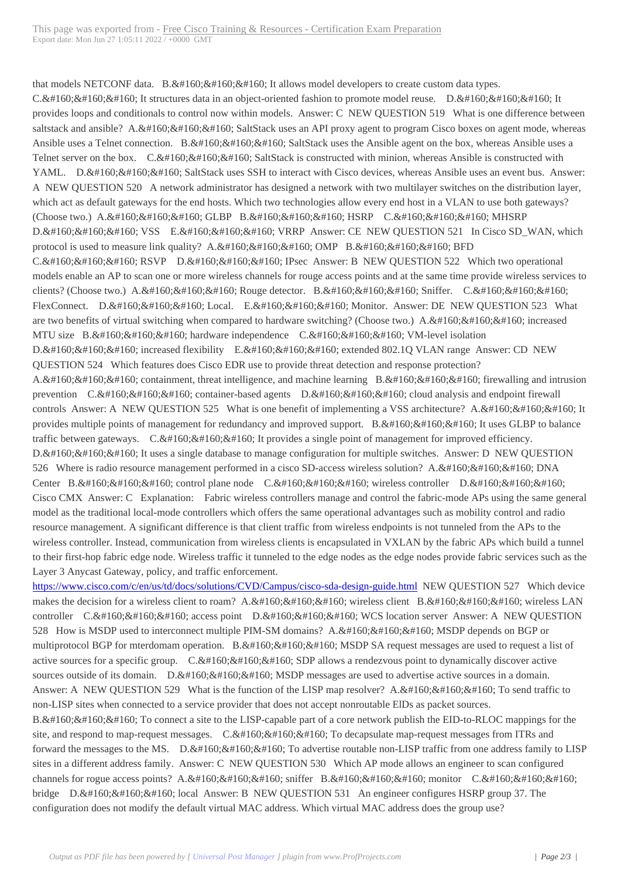that models NETCONF data.  $B. \&\#160; \&\#160;$  It allows model developers to create custom data types. C.  $&\#160$ ;  $&\#160$ ;  $&\#160$ ; It structures data in an object-oriented fashion to promote model reuse. D.  $&\#160$ ;  $&\#160$ ;  $&\#160$ ; It provides loops and conditionals to control now within models. Answer: C NEW QUESTION 519 What is one difference between saltstack and ansible? A.  $&\#160$ ;  $&\#160$ ;  $&\#160$ ; SaltStack uses an API proxy agent to program Cisco boxes on agent mode, whereas Ansible uses a Telnet connection. B.  $&\#160$ ;  $&\#160$ ;  $&\#160$ ; SaltStack uses the Ansible agent on the box, whereas Ansible uses a Telnet server on the box. C. SaltStack is constructed with minion, whereas Ansible is constructed with YAML. D.  $&\#160$ ;  $&\#160$ ;  $&\#160$ ; SaltStack uses SSH to interact with Cisco devices, whereas Ansible uses an event bus. Answer: A NEW QUESTION 520 A network administrator has designed a network with two multilayer switches on the distribution layer, which act as default gateways for the end hosts. Which two technologies allow every end host in a VLAN to use both gateways? (Choose two.) A.  $$ ;  $$ ;  $$ ;  $$ ; GLBP B.  $$ ;  $$ ;  $$ ; HSRP C.  $$ ;  $$ ;  $$ ; MHSRP D. VSS E. VRRP Answer: CE NEW QUESTION 521 In Cisco SD WAN, which protocol is used to measure link quality?  $A. \& #160; \& #160; \& #160; \& #160; \& #160; \& #160; \& #160; \& #160; \& #160; \& #160; \& #160; \& #160; \& #160; \& #160; \& #160; \& #160; \& #160; \& #160; \& #160; \& #160; \& #160; \& #160; \& #160; \& #160; \& #160; \$  $C.$  RSVP D.  $$  IPsec Answer: B NEW QUESTION 522 Which two operational models enable an AP to scan one or more wireless channels for rouge access points and at the same time provide wireless services to clients? (Choose two.)  $A. \& \#160; \& \#160; \& \#160;$  Rouge detector.  $B. \& \#160; \& \#160; \& \#160;$  Sniffer.  $C. \& \#160; \& \#160; \& \#160;$ FlexConnect. D. & #160; & #160; & #160; Local. E. & #160; & #160; & #160; Monitor. Answer: DE NEW QUESTION 523 What are two benefits of virtual switching when compared to hardware switching? (Choose two.)  $A.\&\#160;\&\#160;\&\#160;$  increased MTU size  $B. \&\#160; \&\#160; \&\#160;$  hardware independence  $C. \&\#160; \&\#160; \&\#160;$  VM-level isolation  $D.$ ; increased flexibility  $E.$ ; extended 802.1Q VLAN range Answer: CD NEW QUESTION 524 Which features does Cisco EDR use to provide threat detection and response protection? A.  $&\#160$ ;  $&\#160$ ;  $&\#160$ ; containment, threat intelligence, and machine learning B.  $&\#160$ ;  $&\#160$ ;  $&\#160$ ; firewalling and intrusion prevention  $C.\&\#160;\&\#160;\&\#160$ ; container-based agents  $D.\&\#160;\&\#160;\&\#160$ ; cloud analysis and endpoint firewall controls Answer: A NEW QUESTION 525 What is one benefit of implementing a VSS architecture? A. It provides multiple points of management for redundancy and improved support. B.  $\&\#160;\&\#160;\&\#160$ ; It uses GLBP to balance traffic between gateways. C.  $\ \ \$  It provides a single point of management for improved efficiency. D. It uses a single database to manage configuration for multiple switches. Answer: D NEW QUESTION 526 Where is radio resource management performed in a cisco SD-access wireless solution? A.  $\ \ \&H160$  DNA Center B. & #160; & #160; & #160; control plane node C. & #160; & #160; & #160; wireless controller D. & #160; & #160; & #160; & #160; Cisco CMX Answer: C Explanation: Fabric wireless controllers manage and control the fabric-mode APs using the same general model as the traditional local-mode controllers which offers the same operational advantages such as mobility control and radio resource management. A significant difference is that client traffic from wireless endpoints is not tunneled from the APs to the wireless controller. Instead, communication from wireless clients is encapsulated in VXLAN by the fabric APs which build a tunnel to their first-hop fabric edge node. Wireless traffic it tunneled to the edge nodes as the edge nodes provide fabric services such as the Layer 3 Anycast Gateway, policy, and traffic enforcement.

https://www.cisco.com/c/en/us/td/docs/solutions/CVD/Campus/cisco-sda-design-guide.html NEW QUESTION 527 Which device makes the decision for a wireless client to roam?  $A. \& #160; \& #160; \& #160; \& #160; \& #160; \& #160; \& #160; \& #160; \& #160; \& #160; \& #160; \& #160; \& #160; \& #160; \& #160; \& #160; \& #160; \& #160; \& #160; \& #160; \& #160; \& #160; \& #160; \& #160;$ controller  $C.$  access point D.  $$  WCS location server Answer: A NEW QUESTION 528 How is MSDP used to interconnect multiple PIM-SM domains? A.  $\&\#160$ ;  $\&\#160$ ;  $\&\#160$ ; MSDP depends on BGP or multiprotocol BGP for mterdomam operation. B.  $\&\#160$ ;  $\&\#160$ ;  $\&\#160$ ; MSDP SA request messages are used to request a list of active sources for a specific group. C. SDP allows a rendezvous point to dynamically discover active sources outside of its domain.  $D.$  MSDP messages are used to advertise active sources in a domain. Answer: A NEW QUESTION 529 What is the function of the LISP map resolver? A.  $\&\#160$ ;  $\&\#160$ ;  $\&\#160$ ; To send traffic to non-LISP sites when connected to a service provider that does not accept nonroutable ElDs as packet sources. B.  $&\#160$ ;  $&\#160$ ;  $&\#160$ ; To connect a site to the LISP-capable part of a core network publish the EID-to-RLOC mappings for the site, and respond to map-request messages.  $C.\&\#160;\&\#160;\&\#160$ ; To decapsulate map-request messages from ITRs and forward the messages to the MS. D.  $\&\#160;\&\#160;\$ To advertise routable non-LISP traffic from one address family to LISP sites in a different address family. Answer: C NEW QUESTION 530 Which AP mode allows an engineer to scan configured channels for rogue access points?  $A. \& \#160; \& \#160; \& \#160; \#160; \& \#160; \& \#160; \& \#160; \#160; \& \#160; \& \#160; \& \#160; \& \#160; \& \#160; \& \#160; \& \#160; \& \#160; \& \#160; \& \#160; \& \#160; \& \#160; \& \#160; \& \#160; \& \#160; \& \#$ bridge D. & #160; & #160; & #160; local Answer: B NEW QUESTION 531 An engineer configures HSRP group 37. The configuration does not modify the default virtual MAC address. Which virtual MAC address does the group use?